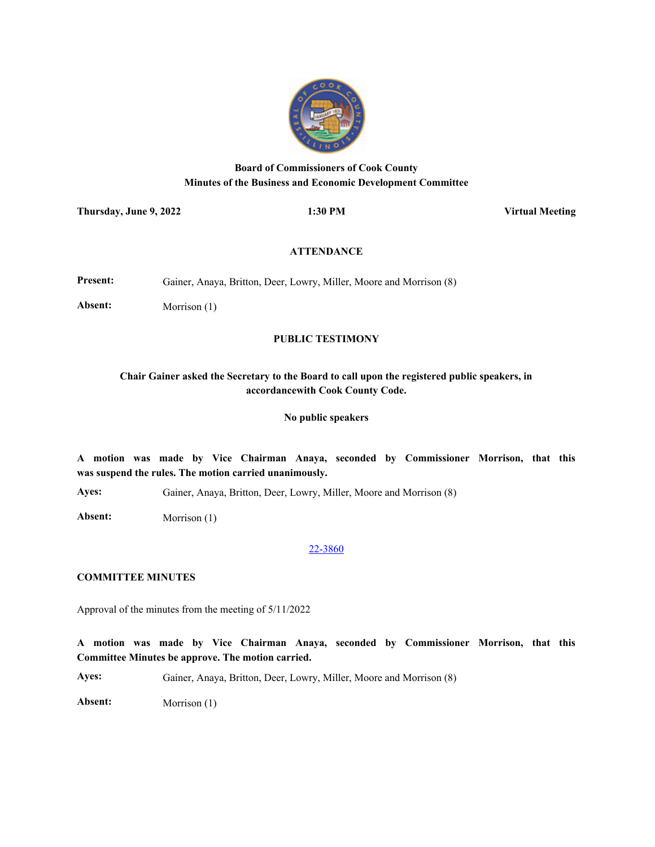

# **Board of Commissioners of Cook County Minutes of the Business and Economic Development Committee**

**Thursday, June 9, 2022 1:30 PM Virtual Meeting**

# **ATTENDANCE**

Present: Gainer, Anaya, Britton, Deer, Lowry, Miller, Moore and Morrison (8)

**Absent:** Morrison (1)

# **PUBLIC TESTIMONY**

# **Chair Gainer asked the Secretary to the Board to call upon the registered public speakers, in accordancewith Cook County Code.**

# **No public speakers**

**A motion was made by Vice Chairman Anaya, seconded by Commissioner Morrison, that this was suspend the rules. The motion carried unanimously.**

**Ayes:** Gainer, Anaya, Britton, Deer, Lowry, Miller, Moore and Morrison (8)

**Absent:** Morrison (1)

### [22-3860](http://cook-county.legistar.com/gateway.aspx?m=l&id=/matter.aspx?key=61959)

# **COMMITTEE MINUTES**

Approval of the minutes from the meeting of 5/11/2022

**A motion was made by Vice Chairman Anaya, seconded by Commissioner Morrison, that this Committee Minutes be approve. The motion carried.**

**Ayes:** Gainer, Anaya, Britton, Deer, Lowry, Miller, Moore and Morrison (8)

**Absent:** Morrison (1)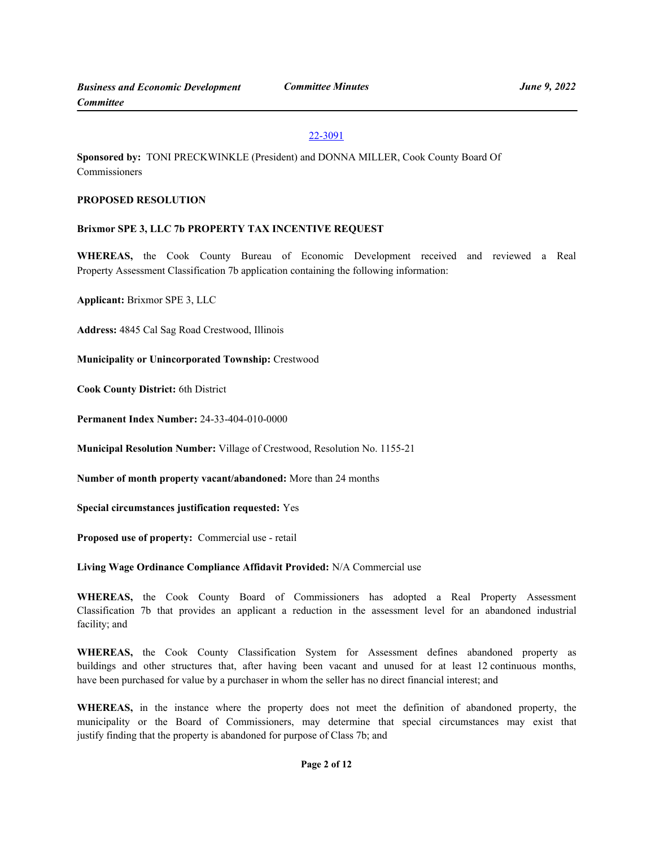### [22-3091](http://cook-county.legistar.com/gateway.aspx?m=l&id=/matter.aspx?key=61251)

**Sponsored by:** TONI PRECKWINKLE (President) and DONNA MILLER, Cook County Board Of Commissioners

# **PROPOSED RESOLUTION**

#### **Brixmor SPE 3, LLC 7b PROPERTY TAX INCENTIVE REQUEST**

**WHEREAS,** the Cook County Bureau of Economic Development received and reviewed a Real Property Assessment Classification 7b application containing the following information:

**Applicant:** Brixmor SPE 3, LLC

**Address:** 4845 Cal Sag Road Crestwood, Illinois

**Municipality or Unincorporated Township:** Crestwood

**Cook County District:** 6th District

**Permanent Index Number:** 24-33-404-010-0000

**Municipal Resolution Number:** Village of Crestwood, Resolution No. 1155-21

**Number of month property vacant/abandoned:** More than 24 months

**Special circumstances justification requested:** Yes

**Proposed use of property:** Commercial use - retail

**Living Wage Ordinance Compliance Affidavit Provided:** N/A Commercial use

**WHEREAS,** the Cook County Board of Commissioners has adopted a Real Property Assessment Classification 7b that provides an applicant a reduction in the assessment level for an abandoned industrial facility; and

**WHEREAS,** the Cook County Classification System for Assessment defines abandoned property as buildings and other structures that, after having been vacant and unused for at least 12 continuous months, have been purchased for value by a purchaser in whom the seller has no direct financial interest; and

**WHEREAS,** in the instance where the property does not meet the definition of abandoned property, the municipality or the Board of Commissioners, may determine that special circumstances may exist that justify finding that the property is abandoned for purpose of Class 7b; and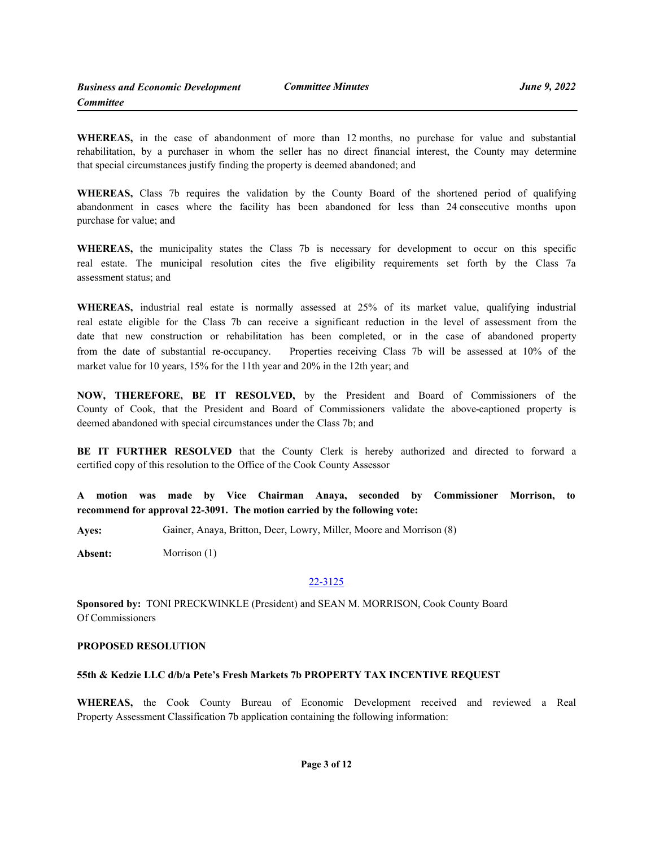**WHEREAS,** in the case of abandonment of more than 12 months, no purchase for value and substantial rehabilitation, by a purchaser in whom the seller has no direct financial interest, the County may determine that special circumstances justify finding the property is deemed abandoned; and

**WHEREAS,** Class 7b requires the validation by the County Board of the shortened period of qualifying abandonment in cases where the facility has been abandoned for less than 24 consecutive months upon purchase for value; and

**WHEREAS,** the municipality states the Class 7b is necessary for development to occur on this specific real estate. The municipal resolution cites the five eligibility requirements set forth by the Class 7a assessment status; and

**WHEREAS,** industrial real estate is normally assessed at 25% of its market value, qualifying industrial real estate eligible for the Class 7b can receive a significant reduction in the level of assessment from the date that new construction or rehabilitation has been completed, or in the case of abandoned property from the date of substantial re-occupancy. Properties receiving Class 7b will be assessed at 10% of the market value for 10 years, 15% for the 11th year and 20% in the 12th year; and

**NOW, THEREFORE, BE IT RESOLVED,** by the President and Board of Commissioners of the County of Cook, that the President and Board of Commissioners validate the above-captioned property is deemed abandoned with special circumstances under the Class 7b; and

**BE IT FURTHER RESOLVED** that the County Clerk is hereby authorized and directed to forward a certified copy of this resolution to the Office of the Cook County Assessor

**A motion was made by Vice Chairman Anaya, seconded by Commissioner Morrison, to recommend for approval 22-3091. The motion carried by the following vote:**

**Ayes:** Gainer, Anaya, Britton, Deer, Lowry, Miller, Moore and Morrison (8)

**Absent:** Morrison (1)

#### [22-3125](http://cook-county.legistar.com/gateway.aspx?m=l&id=/matter.aspx?key=61286)

**Sponsored by:** TONI PRECKWINKLE (President) and SEAN M. MORRISON, Cook County Board Of Commissioners

#### **PROPOSED RESOLUTION**

#### **55th & Kedzie LLC d/b/a Pete's Fresh Markets 7b PROPERTY TAX INCENTIVE REQUEST**

**WHEREAS,** the Cook County Bureau of Economic Development received and reviewed a Real Property Assessment Classification 7b application containing the following information: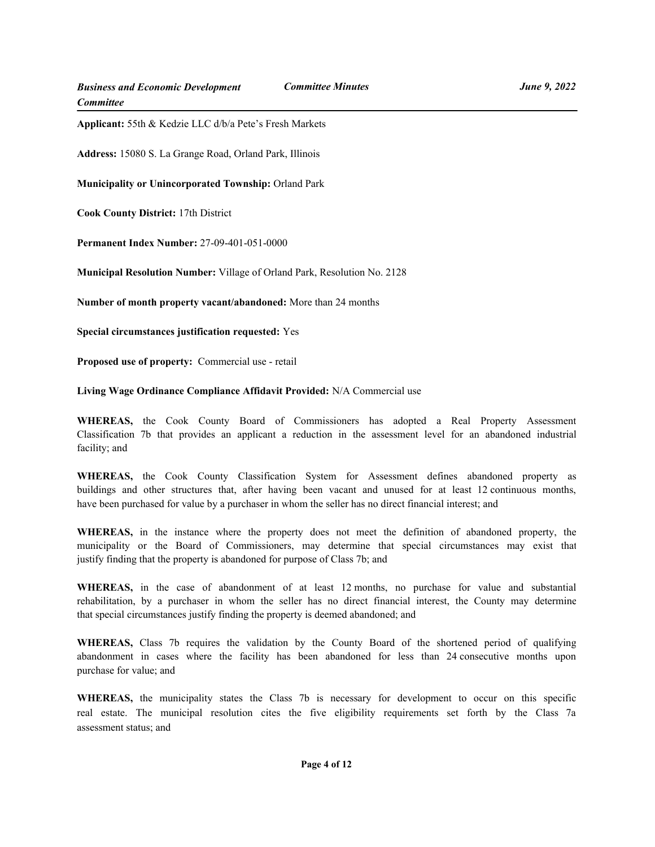**Applicant:** 55th & Kedzie LLC d/b/a Pete's Fresh Markets

**Address:** 15080 S. La Grange Road, Orland Park, Illinois

**Municipality or Unincorporated Township:** Orland Park

**Cook County District:** 17th District

**Permanent Index Number:** 27-09-401-051-0000

**Municipal Resolution Number:** Village of Orland Park, Resolution No. 2128

**Number of month property vacant/abandoned:** More than 24 months

**Special circumstances justification requested:** Yes

**Proposed use of property:** Commercial use - retail

**Living Wage Ordinance Compliance Affidavit Provided:** N/A Commercial use

**WHEREAS,** the Cook County Board of Commissioners has adopted a Real Property Assessment Classification 7b that provides an applicant a reduction in the assessment level for an abandoned industrial facility; and

**WHEREAS,** the Cook County Classification System for Assessment defines abandoned property as buildings and other structures that, after having been vacant and unused for at least 12 continuous months, have been purchased for value by a purchaser in whom the seller has no direct financial interest; and

**WHEREAS,** in the instance where the property does not meet the definition of abandoned property, the municipality or the Board of Commissioners, may determine that special circumstances may exist that justify finding that the property is abandoned for purpose of Class 7b; and

**WHEREAS,** in the case of abandonment of at least 12 months, no purchase for value and substantial rehabilitation, by a purchaser in whom the seller has no direct financial interest, the County may determine that special circumstances justify finding the property is deemed abandoned; and

**WHEREAS,** Class 7b requires the validation by the County Board of the shortened period of qualifying abandonment in cases where the facility has been abandoned for less than 24 consecutive months upon purchase for value; and

**WHEREAS,** the municipality states the Class 7b is necessary for development to occur on this specific real estate. The municipal resolution cites the five eligibility requirements set forth by the Class 7a assessment status; and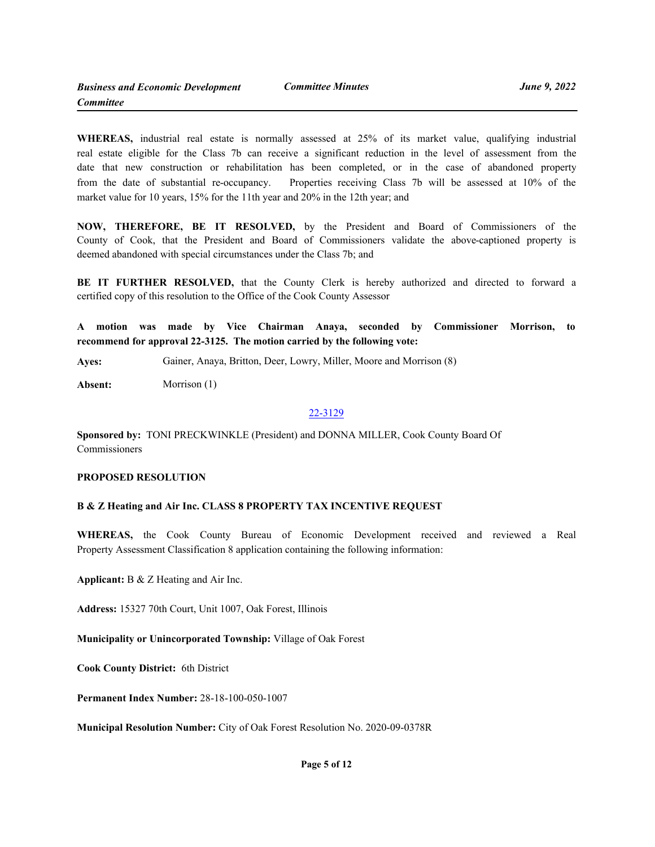**WHEREAS,** industrial real estate is normally assessed at 25% of its market value, qualifying industrial real estate eligible for the Class 7b can receive a significant reduction in the level of assessment from the date that new construction or rehabilitation has been completed, or in the case of abandoned property from the date of substantial re-occupancy. Properties receiving Class 7b will be assessed at 10% of the market value for 10 years, 15% for the 11th year and 20% in the 12th year; and

**NOW, THEREFORE, BE IT RESOLVED,** by the President and Board of Commissioners of the County of Cook, that the President and Board of Commissioners validate the above-captioned property is deemed abandoned with special circumstances under the Class 7b; and

**BE IT FURTHER RESOLVED,** that the County Clerk is hereby authorized and directed to forward a certified copy of this resolution to the Office of the Cook County Assessor

**A motion was made by Vice Chairman Anaya, seconded by Commissioner Morrison, to recommend for approval 22-3125. The motion carried by the following vote:**

**Ayes:** Gainer, Anaya, Britton, Deer, Lowry, Miller, Moore and Morrison (8)

**Absent:** Morrison (1)

#### [22-3129](http://cook-county.legistar.com/gateway.aspx?m=l&id=/matter.aspx?key=61290)

**Sponsored by:** TONI PRECKWINKLE (President) and DONNA MILLER, Cook County Board Of Commissioners

#### **PROPOSED RESOLUTION**

### **B & Z Heating and Air Inc. CLASS 8 PROPERTY TAX INCENTIVE REQUEST**

**WHEREAS,** the Cook County Bureau of Economic Development received and reviewed a Real Property Assessment Classification 8 application containing the following information:

**Applicant:** B & Z Heating and Air Inc.

**Address:** 15327 70th Court, Unit 1007, Oak Forest, Illinois

**Municipality or Unincorporated Township:** Village of Oak Forest

**Cook County District:** 6th District

**Permanent Index Number:** 28-18-100-050-1007

**Municipal Resolution Number:** City of Oak Forest Resolution No. 2020-09-0378R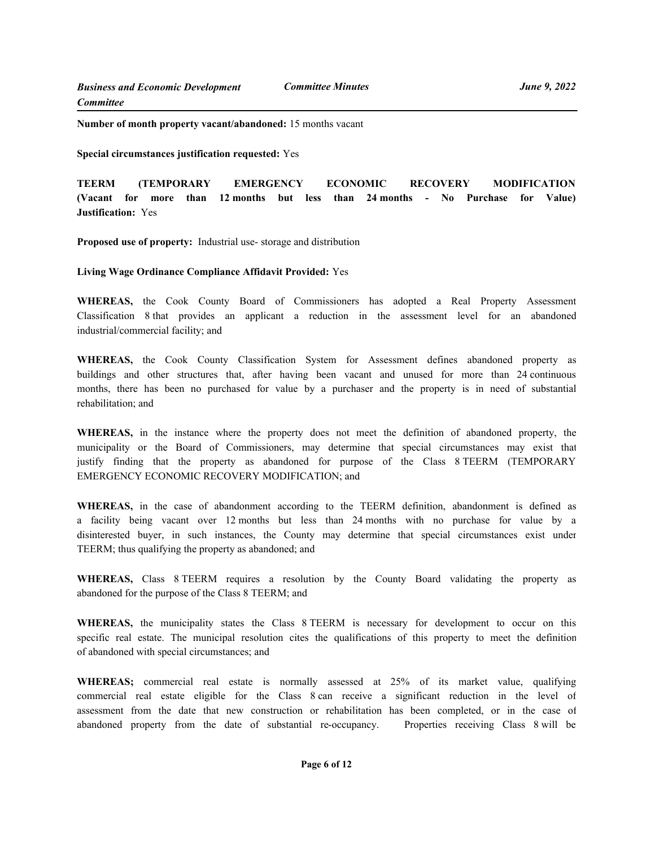**Number of month property vacant/abandoned:** 15 months vacant

**Special circumstances justification requested:** Yes

**TEERM (TEMPORARY EMERGENCY ECONOMIC RECOVERY MODIFICATION (Vacant for more than 12 months but less than 24 months - No Purchase for Value) Justification:** Yes

**Proposed use of property:** Industrial use- storage and distribution

**Living Wage Ordinance Compliance Affidavit Provided:** Yes

**WHEREAS,** the Cook County Board of Commissioners has adopted a Real Property Assessment Classification 8 that provides an applicant a reduction in the assessment level for an abandoned industrial/commercial facility; and

**WHEREAS,** the Cook County Classification System for Assessment defines abandoned property as buildings and other structures that, after having been vacant and unused for more than 24 continuous months, there has been no purchased for value by a purchaser and the property is in need of substantial rehabilitation; and

**WHEREAS,** in the instance where the property does not meet the definition of abandoned property, the municipality or the Board of Commissioners, may determine that special circumstances may exist that justify finding that the property as abandoned for purpose of the Class 8 TEERM (TEMPORARY EMERGENCY ECONOMIC RECOVERY MODIFICATION; and

**WHEREAS,** in the case of abandonment according to the TEERM definition, abandonment is defined as a facility being vacant over 12 months but less than 24 months with no purchase for value by a disinterested buyer, in such instances, the County may determine that special circumstances exist under TEERM; thus qualifying the property as abandoned; and

**WHEREAS,** Class 8 TEERM requires a resolution by the County Board validating the property as abandoned for the purpose of the Class 8 TEERM; and

**WHEREAS,** the municipality states the Class 8 TEERM is necessary for development to occur on this specific real estate. The municipal resolution cites the qualifications of this property to meet the definition of abandoned with special circumstances; and

**WHEREAS;** commercial real estate is normally assessed at 25% of its market value, qualifying commercial real estate eligible for the Class 8 can receive a significant reduction in the level of assessment from the date that new construction or rehabilitation has been completed, or in the case of abandoned property from the date of substantial re-occupancy. Properties receiving Class 8 will be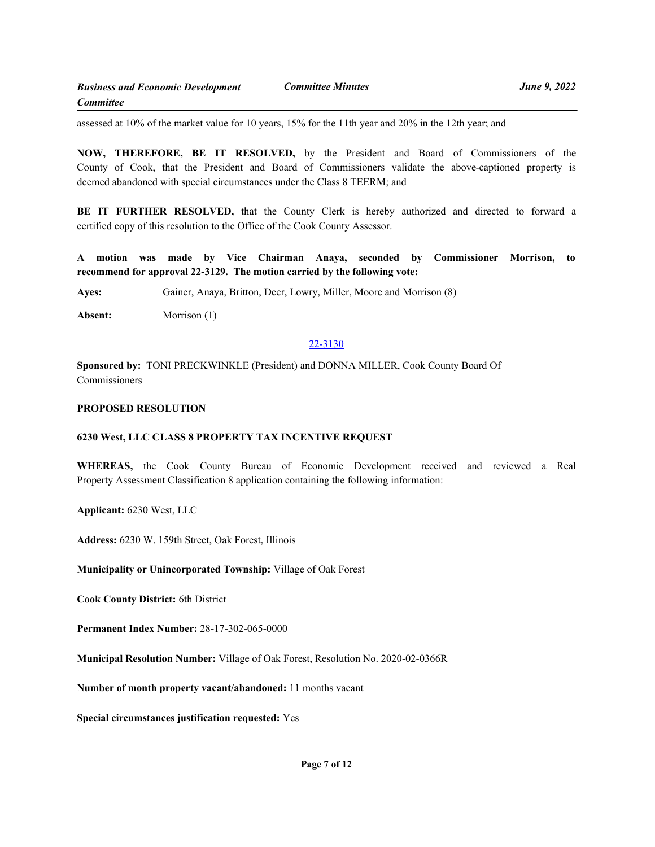assessed at 10% of the market value for 10 years, 15% for the 11th year and 20% in the 12th year; and

**NOW, THEREFORE, BE IT RESOLVED,** by the President and Board of Commissioners of the County of Cook, that the President and Board of Commissioners validate the above-captioned property is deemed abandoned with special circumstances under the Class 8 TEERM; and

**BE IT FURTHER RESOLVED,** that the County Clerk is hereby authorized and directed to forward a certified copy of this resolution to the Office of the Cook County Assessor.

**A motion was made by Vice Chairman Anaya, seconded by Commissioner Morrison, to recommend for approval 22-3129. The motion carried by the following vote:**

**Ayes:** Gainer, Anaya, Britton, Deer, Lowry, Miller, Moore and Morrison (8)

Absent: Morrison (1)

#### [22-3130](http://cook-county.legistar.com/gateway.aspx?m=l&id=/matter.aspx?key=61291)

**Sponsored by:** TONI PRECKWINKLE (President) and DONNA MILLER, Cook County Board Of Commissioners

#### **PROPOSED RESOLUTION**

#### **6230 West, LLC CLASS 8 PROPERTY TAX INCENTIVE REQUEST**

**WHEREAS,** the Cook County Bureau of Economic Development received and reviewed a Real Property Assessment Classification 8 application containing the following information:

**Applicant:** 6230 West, LLC

**Address:** 6230 W. 159th Street, Oak Forest, Illinois

**Municipality or Unincorporated Township:** Village of Oak Forest

**Cook County District:** 6th District

**Permanent Index Number:** 28-17-302-065-0000

**Municipal Resolution Number:** Village of Oak Forest, Resolution No. 2020-02-0366R

**Number of month property vacant/abandoned:** 11 months vacant

**Special circumstances justification requested:** Yes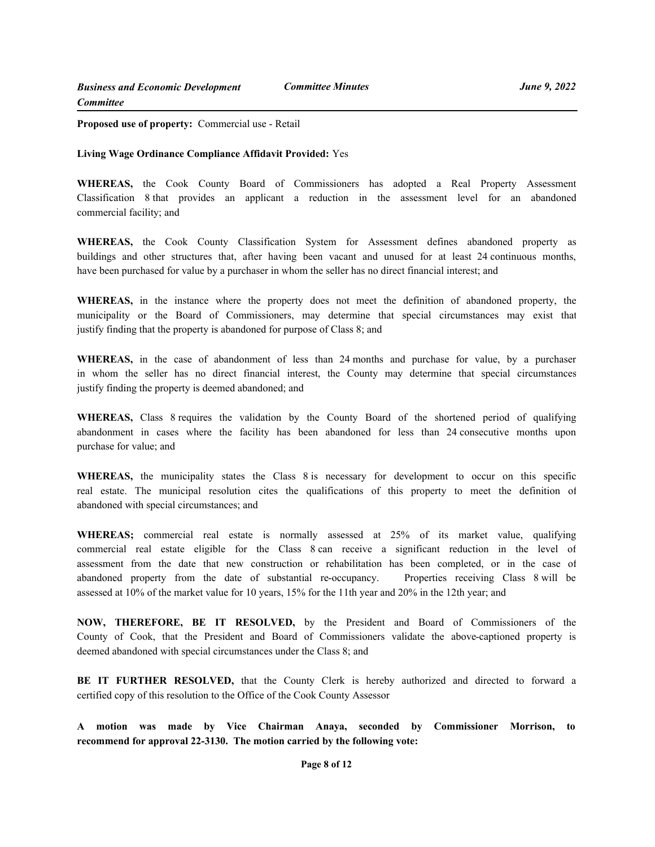**Proposed use of property:** Commercial use - Retail

#### **Living Wage Ordinance Compliance Affidavit Provided:** Yes

**WHEREAS,** the Cook County Board of Commissioners has adopted a Real Property Assessment Classification 8 that provides an applicant a reduction in the assessment level for an abandoned commercial facility; and

**WHEREAS,** the Cook County Classification System for Assessment defines abandoned property as buildings and other structures that, after having been vacant and unused for at least 24 continuous months, have been purchased for value by a purchaser in whom the seller has no direct financial interest; and

**WHEREAS,** in the instance where the property does not meet the definition of abandoned property, the municipality or the Board of Commissioners, may determine that special circumstances may exist that justify finding that the property is abandoned for purpose of Class 8; and

**WHEREAS,** in the case of abandonment of less than 24 months and purchase for value, by a purchaser in whom the seller has no direct financial interest, the County may determine that special circumstances justify finding the property is deemed abandoned; and

**WHEREAS,** Class 8 requires the validation by the County Board of the shortened period of qualifying abandonment in cases where the facility has been abandoned for less than 24 consecutive months upon purchase for value; and

**WHEREAS,** the municipality states the Class 8 is necessary for development to occur on this specific real estate. The municipal resolution cites the qualifications of this property to meet the definition of abandoned with special circumstances; and

**WHEREAS;** commercial real estate is normally assessed at 25% of its market value, qualifying commercial real estate eligible for the Class 8 can receive a significant reduction in the level of assessment from the date that new construction or rehabilitation has been completed, or in the case of abandoned property from the date of substantial re-occupancy. Properties receiving Class 8 will be assessed at 10% of the market value for 10 years, 15% for the 11th year and 20% in the 12th year; and

**NOW, THEREFORE, BE IT RESOLVED,** by the President and Board of Commissioners of the County of Cook, that the President and Board of Commissioners validate the above-captioned property is deemed abandoned with special circumstances under the Class 8; and

**BE IT FURTHER RESOLVED,** that the County Clerk is hereby authorized and directed to forward a certified copy of this resolution to the Office of the Cook County Assessor

**A motion was made by Vice Chairman Anaya, seconded by Commissioner Morrison, to recommend for approval 22-3130. The motion carried by the following vote:**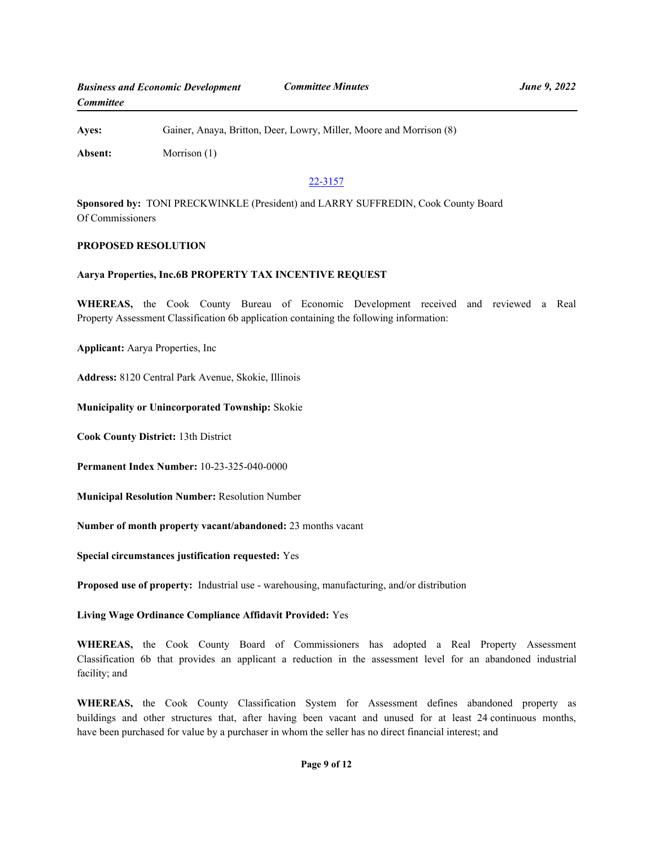**Ayes:** Gainer, Anaya, Britton, Deer, Lowry, Miller, Moore and Morrison (8)

**Absent:** Morrison (1)

### [22-3157](http://cook-county.legistar.com/gateway.aspx?m=l&id=/matter.aspx?key=61318)

**Sponsored by:** TONI PRECKWINKLE (President) and LARRY SUFFREDIN, Cook County Board Of Commissioners

#### **PROPOSED RESOLUTION**

#### **Aarya Properties, Inc.6B PROPERTY TAX INCENTIVE REQUEST**

**WHEREAS,** the Cook County Bureau of Economic Development received and reviewed a Real Property Assessment Classification 6b application containing the following information:

**Applicant:** Aarya Properties, Inc

**Address:** 8120 Central Park Avenue, Skokie, Illinois

**Municipality or Unincorporated Township:** Skokie

**Cook County District:** 13th District

**Permanent Index Number:** 10-23-325-040-0000

**Municipal Resolution Number:** Resolution Number

**Number of month property vacant/abandoned:** 23 months vacant

**Special circumstances justification requested:** Yes

**Proposed use of property:** Industrial use - warehousing, manufacturing, and/or distribution

**Living Wage Ordinance Compliance Affidavit Provided:** Yes

**WHEREAS,** the Cook County Board of Commissioners has adopted a Real Property Assessment Classification 6b that provides an applicant a reduction in the assessment level for an abandoned industrial facility; and

**WHEREAS,** the Cook County Classification System for Assessment defines abandoned property as buildings and other structures that, after having been vacant and unused for at least 24 continuous months, have been purchased for value by a purchaser in whom the seller has no direct financial interest; and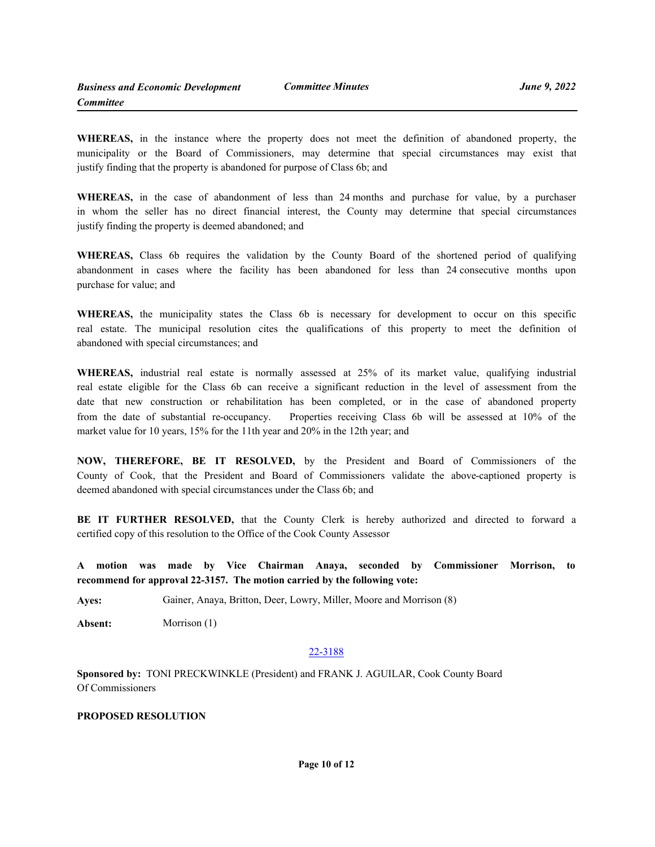**WHEREAS,** in the instance where the property does not meet the definition of abandoned property, the municipality or the Board of Commissioners, may determine that special circumstances may exist that justify finding that the property is abandoned for purpose of Class 6b; and

**WHEREAS,** in the case of abandonment of less than 24 months and purchase for value, by a purchaser in whom the seller has no direct financial interest, the County may determine that special circumstances justify finding the property is deemed abandoned; and

**WHEREAS,** Class 6b requires the validation by the County Board of the shortened period of qualifying abandonment in cases where the facility has been abandoned for less than 24 consecutive months upon purchase for value; and

**WHEREAS,** the municipality states the Class 6b is necessary for development to occur on this specific real estate. The municipal resolution cites the qualifications of this property to meet the definition of abandoned with special circumstances; and

**WHEREAS,** industrial real estate is normally assessed at 25% of its market value, qualifying industrial real estate eligible for the Class 6b can receive a significant reduction in the level of assessment from the date that new construction or rehabilitation has been completed, or in the case of abandoned property from the date of substantial re-occupancy. Properties receiving Class 6b will be assessed at 10% of the market value for 10 years, 15% for the 11th year and 20% in the 12th year; and

**NOW, THEREFORE, BE IT RESOLVED,** by the President and Board of Commissioners of the County of Cook, that the President and Board of Commissioners validate the above-captioned property is deemed abandoned with special circumstances under the Class 6b; and

**BE IT FURTHER RESOLVED,** that the County Clerk is hereby authorized and directed to forward a certified copy of this resolution to the Office of the Cook County Assessor

**A motion was made by Vice Chairman Anaya, seconded by Commissioner Morrison, to recommend for approval 22-3157. The motion carried by the following vote:**

**Ayes:** Gainer, Anaya, Britton, Deer, Lowry, Miller, Moore and Morrison (8)

**Absent:** Morrison (1)

#### [22-3188](http://cook-county.legistar.com/gateway.aspx?m=l&id=/matter.aspx?key=61349)

**Sponsored by:** TONI PRECKWINKLE (President) and FRANK J. AGUILAR, Cook County Board Of Commissioners

#### **PROPOSED RESOLUTION**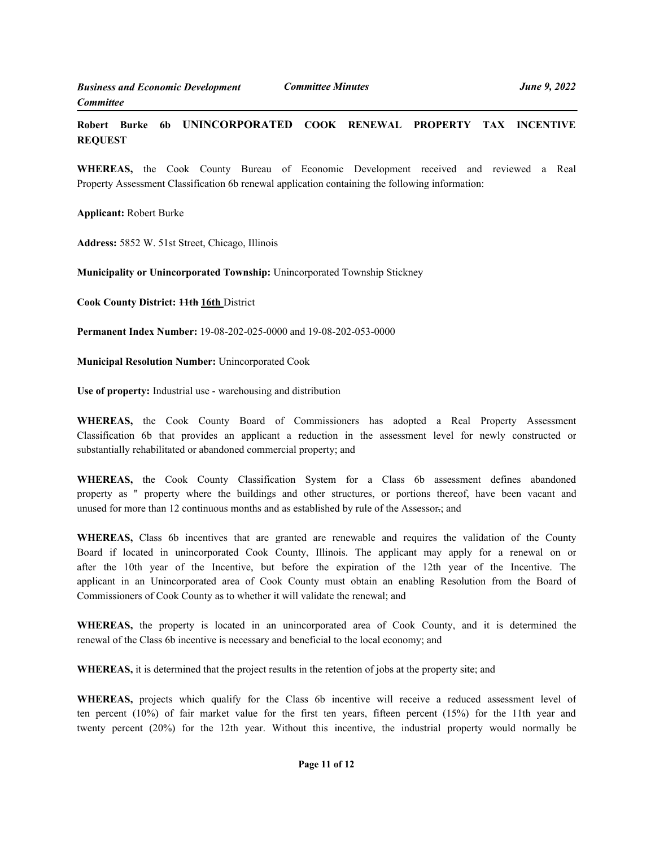**Robert Burke 6b UNINCORPORATED COOK RENEWAL PROPERTY TAX INCENTIVE REQUEST** 

**WHEREAS,** the Cook County Bureau of Economic Development received and reviewed a Real Property Assessment Classification 6b renewal application containing the following information:

**Applicant:** Robert Burke

**Address:** 5852 W. 51st Street, Chicago, Illinois

**Municipality or Unincorporated Township:** Unincorporated Township Stickney

**Cook County District: 11th 16th** District

**Permanent Index Number:** 19-08-202-025-0000 and 19-08-202-053-0000

**Municipal Resolution Number:** Unincorporated Cook

**Use of property:** Industrial use - warehousing and distribution

**WHEREAS,** the Cook County Board of Commissioners has adopted a Real Property Assessment Classification 6b that provides an applicant a reduction in the assessment level for newly constructed or substantially rehabilitated or abandoned commercial property; and

**WHEREAS,** the Cook County Classification System for a Class 6b assessment defines abandoned property as " property where the buildings and other structures, or portions thereof, have been vacant and unused for more than 12 continuous months and as established by rule of the Assessor.; and

**WHEREAS,** Class 6b incentives that are granted are renewable and requires the validation of the County Board if located in unincorporated Cook County, Illinois. The applicant may apply for a renewal on or after the 10th year of the Incentive, but before the expiration of the 12th year of the Incentive. The applicant in an Unincorporated area of Cook County must obtain an enabling Resolution from the Board of Commissioners of Cook County as to whether it will validate the renewal; and

**WHEREAS,** the property is located in an unincorporated area of Cook County, and it is determined the renewal of the Class 6b incentive is necessary and beneficial to the local economy; and

**WHEREAS,** it is determined that the project results in the retention of jobs at the property site; and

**WHEREAS,** projects which qualify for the Class 6b incentive will receive a reduced assessment level of ten percent (10%) of fair market value for the first ten years, fifteen percent (15%) for the 11th year and twenty percent (20%) for the 12th year. Without this incentive, the industrial property would normally be